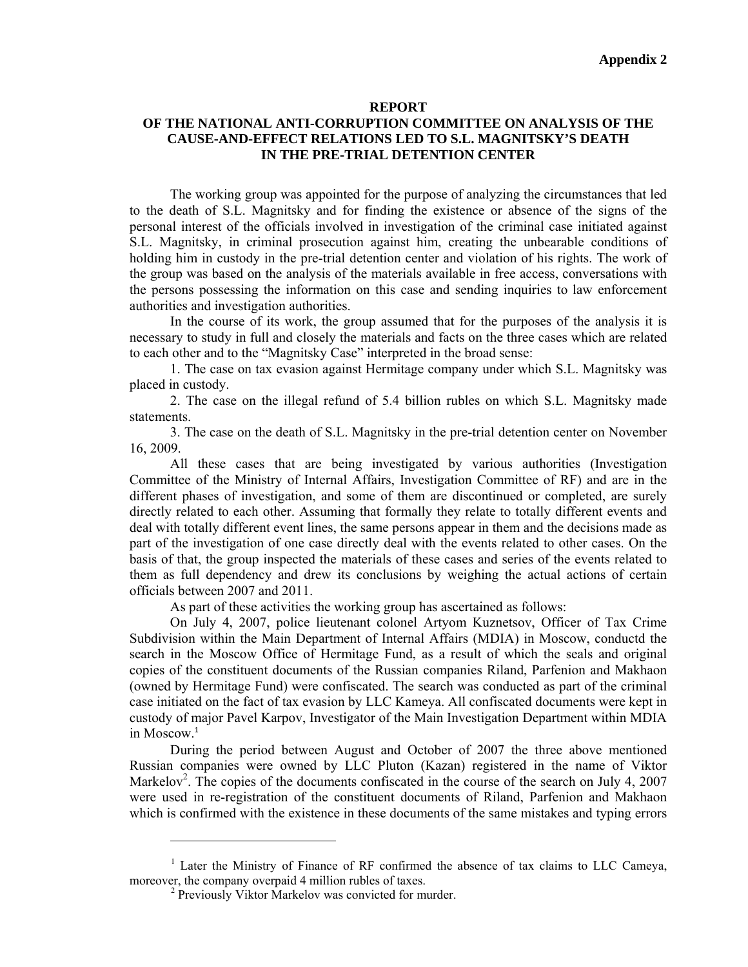## **REPORT**

## **OF THE NATIONAL ANTI-CORRUPTION COMMITTEE ON ANALYSIS OF THE CAUSE-AND-EFFECT RELATIONS LED TO S.L. MAGNITSKY'S DEATH IN THE PRE-TRIAL DETENTION CENTER**

The working group was appointed for the purpose of analyzing the circumstances that led to the death of S.L. Magnitsky and for finding the existence or absence of the signs of the personal interest of the officials involved in investigation of the criminal case initiated against S.L. Magnitsky, in criminal prosecution against him, creating the unbearable conditions of holding him in custody in the pre-trial detention center and violation of his rights. The work of the group was based on the analysis of the materials available in free access, conversations with the persons possessing the information on this case and sending inquiries to law enforcement authorities and investigation authorities.

In the course of its work, the group assumed that for the purposes of the analysis it is necessary to study in full and closely the materials and facts on the three cases which are related to each other and to the "Magnitsky Case" interpreted in the broad sense:

1. The case on tax evasion against Hermitage company under which S.L. Magnitsky was placed in custody.

2. The case on the illegal refund of 5.4 billion rubles on which S.L. Magnitsky made statements.

3. The case on the death of S.L. Magnitsky in the pre-trial detention center on November 16, 2009.

All these cases that are being investigated by various authorities (Investigation Committee of the Ministry of Internal Affairs, Investigation Committee of RF) and are in the different phases of investigation, and some of them are discontinued or completed, are surely directly related to each other. Assuming that formally they relate to totally different events and deal with totally different event lines, the same persons appear in them and the decisions made as part of the investigation of one case directly deal with the events related to other cases. On the basis of that, the group inspected the materials of these cases and series of the events related to them as full dependency and drew its conclusions by weighing the actual actions of certain officials between 2007 and 2011.

As part of these activities the working group has ascertained as follows:

On July 4, 2007, police lieutenant colonel Artyom Kuznetsov, Officer of Tax Crime Subdivision within the Main Department of Internal Affairs (MDIA) in Moscow, conductd the search in the Moscow Office of Hermitage Fund, as a result of which the seals and original copies of the constituent documents of the Russian companies Riland, Parfenion and Makhaon (owned by Hermitage Fund) were confiscated. The search was conducted as part of the criminal case initiated on the fact of tax evasion by LLC Kameya. All confiscated documents were kept in custody of major Pavel Karpov, Investigator of the Main Investigation Department within MDIA in Moscow.<sup>1</sup>

During the period between August and October of 2007 the three above mentioned Russian companies were owned by LLC Pluton (Kazan) registered in the name of Viktor Markelov<sup>2</sup>. The copies of the documents confiscated in the course of the search on July 4, 2007 were used in re-registration of the constituent documents of Riland, Parfenion and Makhaon which is confirmed with the existence in these documents of the same mistakes and typing errors

<sup>&</sup>lt;sup>1</sup> Later the Ministry of Finance of RF confirmed the absence of tax claims to LLC Cameya, moreover, the company overpaid 4 million rubles of taxes.

<sup>&</sup>lt;sup>2</sup> Previously Viktor Markelov was convicted for murder.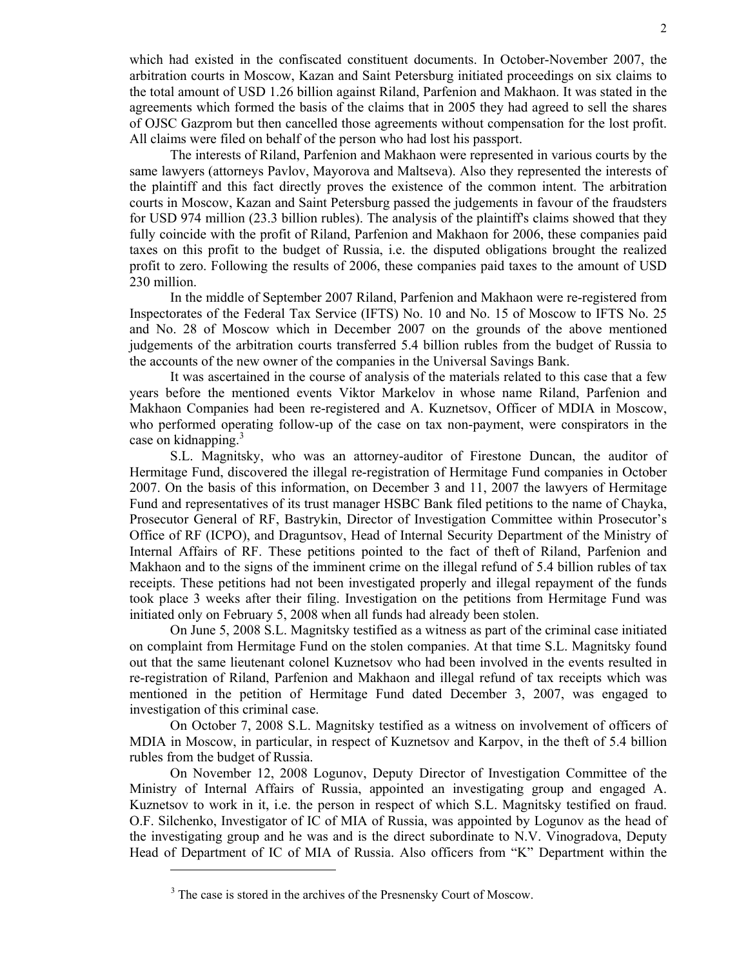which had existed in the confiscated constituent documents. In October-November 2007, the arbitration courts in Moscow, Kazan and Saint Petersburg initiated proceedings on six claims to the total amount of USD 1.26 billion against Riland, Parfenion and Makhaon. It was stated in the agreements which formed the basis of the claims that in 2005 they had agreed to sell the shares of OJSC Gazprom but then cancelled those agreements without compensation for the lost profit. All claims were filed on behalf of the person who had lost his passport.

The interests of Riland, Parfenion and Makhaon were represented in various courts by the same lawyers (attorneys Pavlov, Mayorova and Maltseva). Also they represented the interests of the plaintiff and this fact directly proves the existence of the common intent. The arbitration courts in Moscow, Kazan and Saint Petersburg passed the judgements in favour of the fraudsters for USD 974 million (23.3 billion rubles). The analysis of the plaintiff's claims showed that they fully coincide with the profit of Riland, Parfenion and Makhaon for 2006, these companies paid taxes on this profit to the budget of Russia, i.e. the disputed obligations brought the realized profit to zero. Following the results of 2006, these companies paid taxes to the amount of USD 230 million.

In the middle of September 2007 Riland, Parfenion and Makhaon were re-registered from Inspectorates of the Federal Tax Service (IFTS) No. 10 and No. 15 of Moscow to IFTS No. 25 and No. 28 of Moscow which in December 2007 on the grounds of the above mentioned judgements of the arbitration courts transferred 5.4 billion rubles from the budget of Russia to the accounts of the new owner of the companies in the Universal Savings Bank.

It was ascertained in the course of analysis of the materials related to this case that a few years before the mentioned events Viktor Markelov in whose name Riland, Parfenion and Makhaon Companies had been re-registered and A. Kuznetsov, Officer of MDIA in Moscow, who performed operating follow-up of the case on tax non-payment, were conspirators in the case on kidnapping.<sup>3</sup>

S.L. Magnitsky, who was an attorney-auditor of Firestone Duncan, the auditor of Hermitage Fund, discovered the illegal re-registration of Hermitage Fund companies in October 2007. On the basis of this information, on December 3 and 11, 2007 the lawyers of Hermitagе Fund and representatives of its trust manager HSBC Bank filed petitions to the name of Chayka, Prosecutor General of RF, Bastrykin, Director of Investigation Committee within Prosecutor's Office of RF (ICPO), and Draguntsov, Head of Internal Security Department of the Ministry of Internal Affairs of RF. These petitions pointed to the fact of theft of Riland, Parfenion and Makhaon and to the signs of the imminent crime on the illegal refund of 5.4 billion rubles of tax receipts. These petitions had not been investigated properly and illegal repayment of the funds took place 3 weeks after their filing. Investigation on the petitions from Hermitage Fund was initiated only on February 5, 2008 when all funds had already been stolen.

On June 5, 2008 S.L. Magnitsky testified as a witness as part of the criminal case initiated on complaint from Hermitage Fund on the stolen companies. At that time S.L. Magnitsky found out that the same lieutenant colonel Kuznetsov who had been involved in the events resulted in re-registration of Riland, Parfenion and Makhaon and illegal refund of tax receipts which was mentioned in the petition of Hermitage Fund dated December 3, 2007, was engaged to investigation of this criminal case.

On October 7, 2008 S.L. Magnitsky testified as a witness on involvement of officers of MDIA in Moscow, in particular, in respect of Kuznetsov and Karpov, in the theft of 5.4 billion rubles from the budget of Russia.

On November 12, 2008 Logunov, Deputy Director of Investigation Committee of the Ministry of Internal Affairs of Russia, appointed an investigating group and engaged A. Kuznetsov to work in it, i.e. the person in respect of which S.L. Magnitsky testified on fraud. О.F. Silchenko, Investigator of IC of MIA of Russia, was appointed by Logunov as the head of the investigating group and he was and is the direct subordinate to N.V. Vinogradova, Deputy Head of Department of IC of MIA of Russia. Also officers from "K" Department within the

<sup>&</sup>lt;sup>3</sup> The case is stored in the archives of the Presnensky Court of Moscow.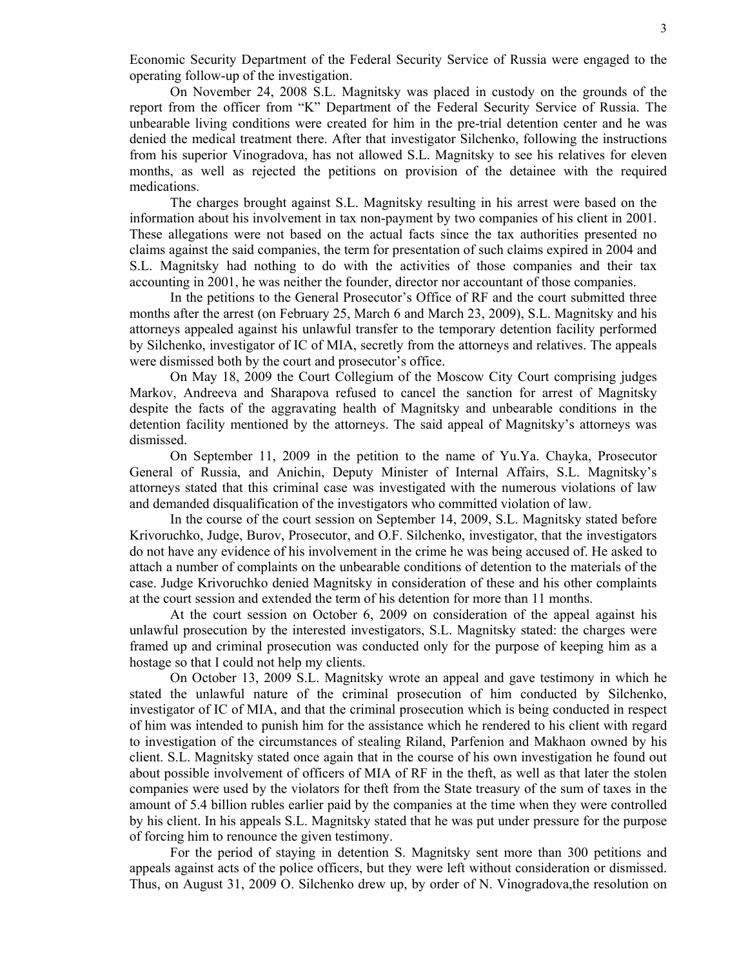Economic Security Department of the Federal Security Service of Russia were engaged to the operating follow-up of the investigation.

On November 24, 2008 S.L. Magnitsky was placed in custody on the grounds of the report from the officer from "K" Department of the Federal Security Service of Russia. The unbearable living conditions were created for him in the pre-trial detention center and he was denied the medical treatment there. After that investigator Silchenko, following the instructions from his superior Vinogradova, has not allowed S.L. Magnitsky to see his relatives for eleven months, as well as rejected the petitions on provision of the detainee with the required medications.

The charges brought against S.L. Magnitsky resulting in his arrest were based on the information about his involvement in tax non-payment by two companies of his client in 2001. These allegations were not based on the actual facts since the tax authorities presented no claims against the said companies, the term for presentation of such claims expired in 2004 and S.L. Magnitsky had nothing to do with the activities of those companies and their tax accounting in 2001, he was neither the founder, director nor accountant of those companies.

In the petitions to the General Prosecutor's Office of RF and the court submitted three months after the arrest (on February 25, March 6 and March 23, 2009), S.L. Magnitsky and his attorneys appealed against his unlawful transfer to the temporary detention facility performed by Silchenko, investigator of IC of MIA, secretly from the attorneys and relatives. The appeals were dismissed both by the court and prosecutor's office.

On May 18, 2009 the Court Collegium of the Moscow City Court comprising judges Markov, Andreeva and Sharapova refused to cancel the sanction for arrest of Magnitsky despite the facts of the aggravating health of Magnitsky and unbearable conditions in the detention facility mentioned by the attorneys. The said appeal of Magnitsky's attorneys was dismissed.

On September 11, 2009 in the petition to the name of Yu.Ya. Chayka, Prosecutor General of Russia, and Anichin, Deputy Minister of Internal Affairs, S.L. Magnitsky's attorneys stated that this criminal case was investigated with the numerous violations of law and demanded disqualification of the investigators who committed violation of law.

In the course of the court session on September 14, 2009, S.L. Magnitsky stated before Krivoruchko, Judge, Burov, Prosecutor, and O.F. Silchenko, investigator, that the investigators do not have any evidence of his involvement in the crime he was being accused of. He asked to attach a number of complaints on the unbearable conditions of detention to the materials of the case. Judge Krivoruchko denied Magnitsky in consideration of these and his other complaints at the court session and extended the term of his detention for more than 11 months.

At the court session on October 6, 2009 on consideration of the appeal against his unlawful prosecution by the interested investigators, S.L. Magnitsky stated: the charges were framed up and criminal prosecution was conducted only for the purpose of keeping him as a hostage so that I could not help my clients.

On October 13, 2009 S.L. Magnitsky wrote an appeal and gave testimony in which he stated the unlawful nature of the criminal prosecution of him conducted by Silchenko, investigator of IC of MIA, and that the criminal prosecution which is being conducted in respect of him was intended to punish him for the assistance which he rendered to his client with regard to investigation of the circumstances of stealing Riland, Parfenion and Makhaon owned by his client. S.L. Magnitsky stated once again that in the course of his own investigation he found out about possible involvement of officers of MIA of RF in the theft, as well as that later the stolen companies were used by the violators for theft from the State treasury of the sum of taxes in the amount of 5.4 billion rubles earlier paid by the companies at the time when they were controlled by his client. In his appeals S.L. Magnitsky stated that he was put under pressure for the purpose of forcing him to renounce the given testimony.

For the period of staying in detention S. Magnitsky sent more than 300 petitions and appeals against acts of the police officers, but they were left without consideration or dismissed. Thus, on August 31, 2009 O. Silchenko drew up, by order of N. Vinogradova,the resolution on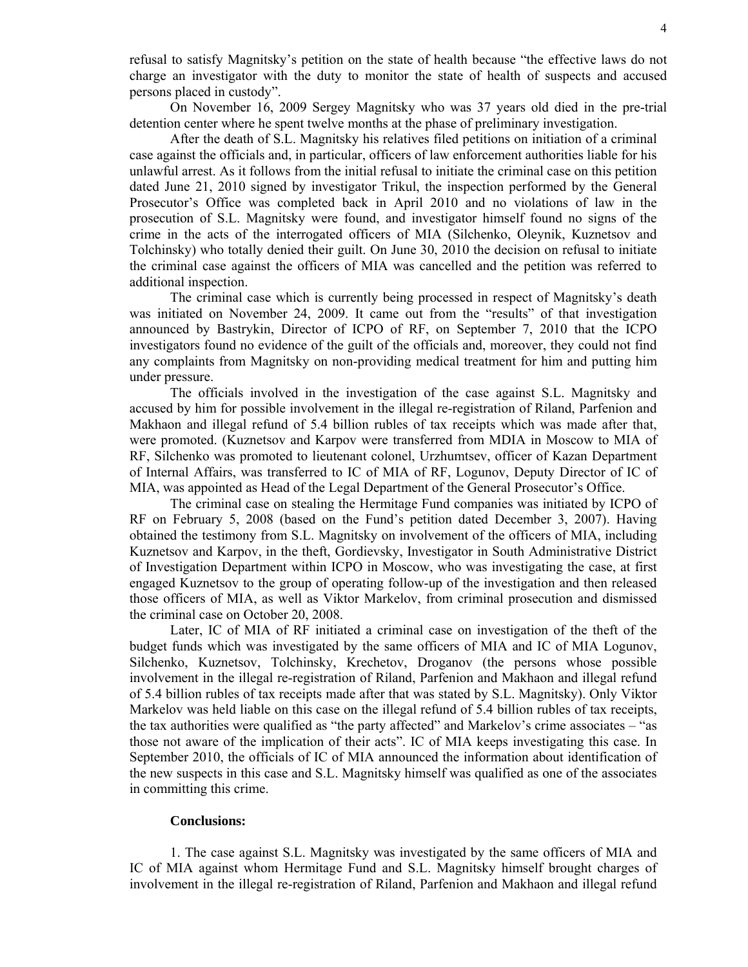refusal to satisfy Magnitsky's petition on the state of health because "the effective laws do not charge an investigator with the duty to monitor the state of health of suspects and accused persons placed in custody".

On November 16, 2009 Sergey Magnitsky who was 37 years old died in the pre-trial detention center where he spent twelve months at the phase of preliminary investigation.

After the death of S.L. Magnitsky his relatives filed petitions on initiation of a criminal case against the officials and, in particular, officers of law enforcement authorities liable for his unlawful arrest. As it follows from the initial refusal to initiate the criminal case on this petition dated June 21, 2010 signed by investigator Trikul, the inspection performed by the General Prosecutor's Office was completed back in April 2010 and no violations of law in the prosecution of S.L. Magnitsky were found, and investigator himself found no signs of the crime in the acts of the interrogated officers of MIA (Silchenko, Oleynik, Kuznetsov and Tolchinsky) who totally denied their guilt. On June 30, 2010 the decision on refusal to initiate the criminal case against the officers of MIA was cancelled and the petition was referred to additional inspection.

The criminal case which is currently being processed in respect of Magnitsky's death was initiated on November 24, 2009. It came out from the "results" of that investigation announced by Bastrykin, Director of ICPO of RF, on September 7, 2010 that the ICPO investigators found no evidence of the guilt of the officials and, moreover, they could not find any complaints from Magnitsky on non-providing medical treatment for him and putting him under pressure.

The officials involved in the investigation of the case against S.L. Magnitsky and accused by him for possible involvement in the illegal re-registration of Riland, Parfenion and Makhaon and illegal refund of 5.4 billion rubles of tax receipts which was made after that, were promoted. (Kuznetsov and Karpov were transferred from MDIA in Moscow to MIA of RF, Silchenko was promoted to lieutenant colonel, Urzhumtsev, officer of Kazan Department of Internal Affairs, was transferred to IC of MIA of RF, Logunov, Deputy Director of IC of MIA, was appointed as Head of the Legal Department of the General Prosecutor's Office.

The criminal case on stealing the Hermitage Fund companies was initiated by ICPO of RF on February 5, 2008 (based on the Fund's petition dated December 3, 2007). Having obtained the testimony from S.L. Magnitsky on involvement of the officers of MIA, including Kuznetsov and Karpov, in the theft, Gordievsky, Investigator in South Administrative District of Investigation Department within ICPO in Moscow, who was investigating the case, at first engaged Kuznetsov to the group of operating follow-up of the investigation and then released those officers of MIA, as well as Viktor Markelov, from criminal prosecution and dismissed the criminal case on October 20, 2008.

Later, IC of MIA of RF initiated a criminal case on investigation of the theft of the budget funds which was investigated by the same officers of MIA and IC of MIA Logunov, Silchenko, Kuznetsov, Tolchinsky, Krechetov, Droganov (the persons whose possible involvement in the illegal re-registration of Riland, Parfenion and Makhaon and illegal refund of 5.4 billion rubles of tax receipts made after that was stated by S.L. Magnitsky). Only Viktor Markelov was held liable on this case on the illegal refund of 5.4 billion rubles of tax receipts, the tax authorities were qualified as "the party affected" and Markelov's crime associates – "as those not aware of the implication of their acts". IC of MIA keeps investigating this case. In September 2010, the officials of IC of MIA announced the information about identification of the new suspects in this case and S.L. Magnitsky himself was qualified as one of the associates in committing this crime.

## **Conclusions:**

1. The case against S.L. Magnitsky was investigated by the same officers of MIA and IC of MIA against whom Hermitage Fund and S.L. Magnitsky himself brought charges of involvement in the illegal re-registration of Riland, Parfenion and Makhaon and illegal refund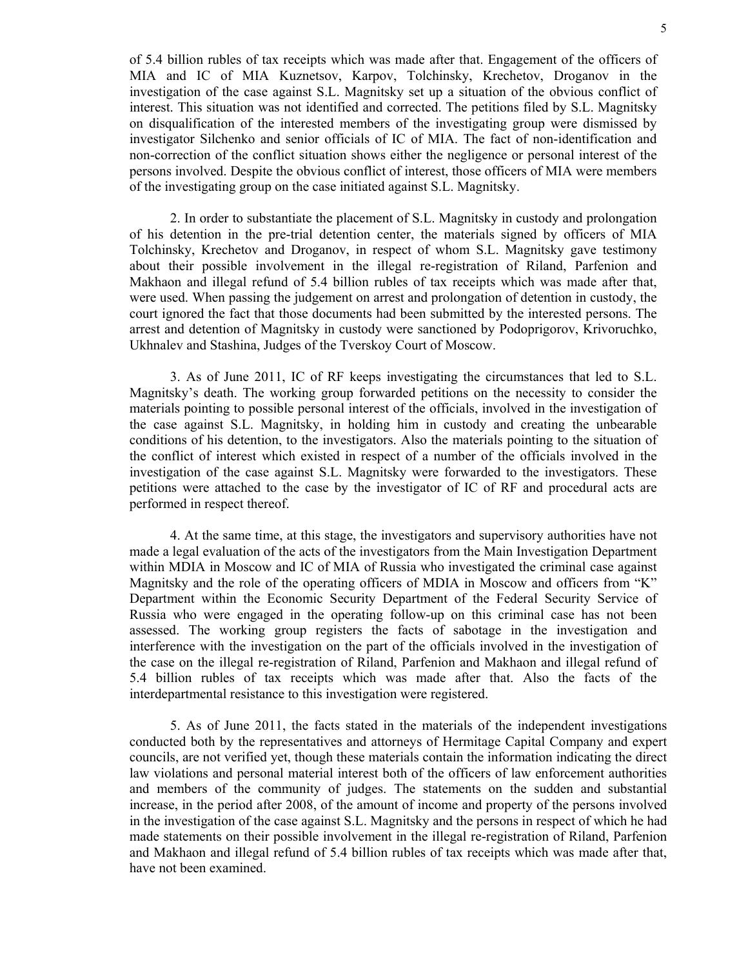of 5.4 billion rubles of tax receipts which was made after that. Engagement of the officers of MIA and IC of MIA Kuznetsov, Karpov, Tolchinsky, Krechetov, Droganov in the investigation of the case against S.L. Magnitsky set up a situation of the obvious conflict of interest. This situation was not identified and corrected. The petitions filed by S.L. Magnitsky on disqualification of the interested members of the investigating group were dismissed by investigator Silchenko and senior officials of IC of MIA. The fact of non-identification and non-correction of the conflict situation shows either the negligence or personal interest of the persons involved. Despite the obvious conflict of interest, those officers of MIA were members of the investigating group on the case initiated against S.L. Magnitsky.

2. In order to substantiate the placement of S.L. Magnitsky in custody and prolongation of his detention in the pre-trial detention center, the materials signed by officers of MIA Tolchinsky, Krechetov and Droganov, in respect of whom S.L. Magnitsky gave testimony about their possible involvement in the illegal re-registration of Riland, Parfenion and Makhaon and illegal refund of 5.4 billion rubles of tax receipts which was made after that, were used. When passing the judgement on arrest and prolongation of detention in custody, the court ignored the fact that those documents had been submitted by the interested persons. The arrest and detention of Magnitsky in custody were sanctioned by Podoprigorov, Krivoruchko, Ukhnalev and Stashina, Judges of the Tverskoy Court of Moscow.

3. As of June 2011, IC of RF keeps investigating the circumstances that led to S.L. Magnitsky's death. The working group forwarded petitions on the necessity to consider the materials pointing to possible personal interest of the officials, involved in the investigation of the case against S.L. Magnitsky, in holding him in custody and creating the unbearable conditions of his detention, to the investigators. Also the materials pointing to the situation of the conflict of interest which existed in respect of a number of the officials involved in the investigation of the case against S.L. Magnitsky were forwarded to the investigators. These petitions were attached to the case by the investigator of IC of RF and procedural acts are performed in respect thereof.

4. At the same time, at this stage, the investigators and supervisory authorities have not made a legal evaluation of the acts of the investigators from the Main Investigation Department within MDIA in Moscow and IC of MIA of Russia who investigated the criminal case against Magnitsky and the role of the operating officers of MDIA in Moscow and officers from "K" Department within the Economic Security Department of the Federal Security Service of Russia who were engaged in the operating follow-up on this criminal case has not been assessed. The working group registers the facts of sabotage in the investigation and interference with the investigation on the part of the officials involved in the investigation of the case on the illegal re-registration of Riland, Parfenion and Makhaon and illegal refund of 5.4 billion rubles of tax receipts which was made after that. Also the facts of the interdepartmental resistance to this investigation were registered.

5. As of June 2011, the facts stated in the materials of the independent investigations conducted both by the representatives and attorneys of Hermitage Capital Company and expert councils, are not verified yet, though these materials contain the information indicating the direct law violations and personal material interest both of the officers of law enforcement authorities and members of the community of judges. The statements on the sudden and substantial increase, in the period after 2008, of the amount of income and property of the persons involved in the investigation of the case against S.L. Magnitsky and the persons in respect of which he had made statements on their possible involvement in the illegal re-registration of Riland, Parfenion and Makhaon and illegal refund of 5.4 billion rubles of tax receipts which was made after that, have not been examined.